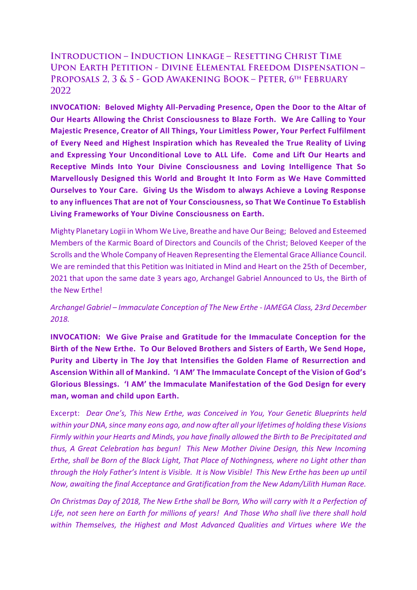## **INTRODUCTION - INDUCTION LINKAGE - RESETTING CHRIST TIME UPON EARTH PETITION - DIVINE ELEMENTAL FREEDOM DISPENSATION -**PROPOSALS 2, 3 & 5 - GOD AWAKENING BOOK - PETER, 6TH FEBRUARY 2022

**INVOCATION: Beloved Mighty All-Pervading Presence, Open the Door to the Altar of Our Hearts Allowing the Christ Consciousness to Blaze Forth. We Are Calling to Your Majestic Presence, Creator of All Things, Your Limitless Power, Your Perfect Fulfilment of Every Need and Highest Inspiration which has Revealed the True Reality of Living and Expressing Your Unconditional Love to ALL Life. Come and Lift Our Hearts and Receptive Minds Into Your Divine Consciousness and Loving Intelligence That So Marvellously Designed this World and Brought It Into Form as We Have Committed Ourselves to Your Care. Giving Us the Wisdom to always Achieve a Loving Response to any influences That are not of Your Consciousness, so That We Continue To Establish Living Frameworks of Your Divine Consciousness on Earth.** 

Mighty Planetary Logii in Whom We Live, Breathe and have Our Being; Beloved and Esteemed Members of the Karmic Board of Directors and Councils of the Christ; Beloved Keeper of the Scrolls and the Whole Company of Heaven Representing the Elemental Grace Alliance Council. We are reminded that this Petition was Initiated in Mind and Heart on the 25th of December, 2021 that upon the same date 3 years ago, Archangel Gabriel Announced to Us, the Birth of the New Erthe!

## *Archangel Gabriel – Immaculate Conception of The New Erthe - IAMEGA Class, 23rd December 2018.*

**INVOCATION: We Give Praise and Gratitude for the Immaculate Conception for the Birth of the New Erthe. To Our Beloved Brothers and Sisters of Earth, We Send Hope, Purity and Liberty in The Joy that Intensifies the Golden Flame of Resurrection and Ascension Within all of Mankind. 'I AM' The Immaculate Concept of the Vision of God's Glorious Blessings. 'I AM' the Immaculate Manifestation of the God Design for every man, woman and child upon Earth.**

Excerpt: *Dear One's, This New Erthe, was Conceived in You, Your Genetic Blueprints held within your DNA, since many eons ago, and now after all your lifetimes of holding these Visions Firmly within your Hearts and Minds, you have finally allowed the Birth to Be Precipitated and thus, A Great Celebration has begun! This New Mother Divine Design, this New Incoming Erthe, shall be Born of the Black Light, That Place of Nothingness, where no Light other than through the Holy Father's Intent is Visible. It is Now Visible! This New Erthe has been up until Now, awaiting the final Acceptance and Gratification from the New Adam/Lilith Human Race.*

*On Christmas Day of 2018, The New Erthe shall be Born, Who will carry with It a Perfection of Life, not seen here on Earth for millions of years! And Those Who shall live there shall hold within Themselves, the Highest and Most Advanced Qualities and Virtues where We the*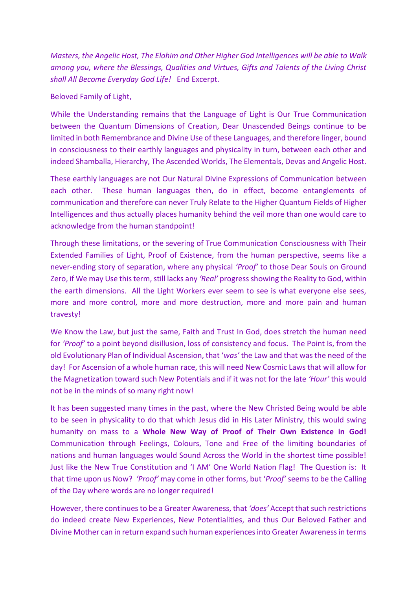*Masters, the Angelic Host, The Elohim and Other Higher God Intelligences will be able to Walk among you, where the Blessings, Qualities and Virtues, Gifts and Talents of the Living Christ shall All Become Everyday God Life!* End Excerpt.

## Beloved Family of Light,

While the Understanding remains that the Language of Light is Our True Communication between the Quantum Dimensions of Creation, Dear Unascended Beings continue to be limited in both Remembrance and Divine Use of these Languages, and therefore linger, bound in consciousness to their earthly languages and physicality in turn, between each other and indeed Shamballa, Hierarchy, The Ascended Worlds, The Elementals, Devas and Angelic Host.

These earthly languages are not Our Natural Divine Expressions of Communication between each other. These human languages then, do in effect, become entanglements of communication and therefore can never Truly Relate to the Higher Quantum Fields of Higher Intelligences and thus actually places humanity behind the veil more than one would care to acknowledge from the human standpoint!

Through these limitations, or the severing of True Communication Consciousness with Their Extended Families of Light, Proof of Existence, from the human perspective, seems like a never-ending story of separation, where any physical *'Proof'* to those Dear Souls on Ground Zero, if We may Use this term, still lacks any *'Real'* progress showing the Reality to God, within the earth dimensions. All the Light Workers ever seem to see is what everyone else sees, more and more control, more and more destruction, more and more pain and human travesty!

We Know the Law, but just the same, Faith and Trust In God, does stretch the human need for *'Proof'* to a point beyond disillusion, loss of consistency and focus. The Point Is, from the old Evolutionary Plan of Individual Ascension, that '*was'* the Law and that was the need of the day! For Ascension of a whole human race, this will need New Cosmic Laws that will allow for the Magnetization toward such New Potentials and if it was not for the late *'Hour'* this would not be in the minds of so many right now!

It has been suggested many times in the past, where the New Christed Being would be able to be seen in physicality to do that which Jesus did in His Later Ministry, this would swing humanity on mass to a **Whole New Way of Proof of Their Own Existence in God!** Communication through Feelings, Colours, Tone and Free of the limiting boundaries of nations and human languages would Sound Across the World in the shortest time possible! Just like the New True Constitution and 'I AM' One World Nation Flag! The Question is: It that time upon us Now? *'Proof'* may come in other forms, but '*Proof'* seems to be the Calling of the Day where words are no longer required!

However, there continues to be a Greater Awareness, that *'does'* Accept that such restrictions do indeed create New Experiences, New Potentialities, and thus Our Beloved Father and Divine Mother can in return expand such human experiences into Greater Awareness in terms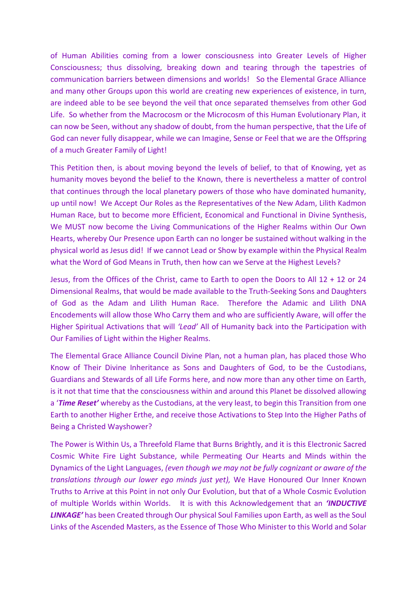of Human Abilities coming from a lower consciousness into Greater Levels of Higher Consciousness; thus dissolving, breaking down and tearing through the tapestries of communication barriers between dimensions and worlds! So the Elemental Grace Alliance and many other Groups upon this world are creating new experiences of existence, in turn, are indeed able to be see beyond the veil that once separated themselves from other God Life. So whether from the Macrocosm or the Microcosm of this Human Evolutionary Plan, it can now be Seen, without any shadow of doubt, from the human perspective, that the Life of God can never fully disappear, while we can Imagine, Sense or Feel that we are the Offspring of a much Greater Family of Light!

This Petition then, is about moving beyond the levels of belief, to that of Knowing, yet as humanity moves beyond the belief to the Known, there is nevertheless a matter of control that continues through the local planetary powers of those who have dominated humanity, up until now! We Accept Our Roles as the Representatives of the New Adam, Lilith Kadmon Human Race, but to become more Efficient, Economical and Functional in Divine Synthesis, We MUST now become the Living Communications of the Higher Realms within Our Own Hearts, whereby Our Presence upon Earth can no longer be sustained without walking in the physical world as Jesus did! If we cannot Lead or Show by example within the Physical Realm what the Word of God Means in Truth, then how can we Serve at the Highest Levels?

Jesus, from the Offices of the Christ, came to Earth to open the Doors to All 12 + 12 or 24 Dimensional Realms, that would be made available to the Truth-Seeking Sons and Daughters of God as the Adam and Lilith Human Race. Therefore the Adamic and Lilith DNA Encodements will allow those Who Carry them and who are sufficiently Aware, will offer the Higher Spiritual Activations that will *'Lead'* All of Humanity back into the Participation with Our Families of Light within the Higher Realms.

The Elemental Grace Alliance Council Divine Plan, not a human plan, has placed those Who Know of Their Divine Inheritance as Sons and Daughters of God, to be the Custodians, Guardians and Stewards of all Life Forms here, and now more than any other time on Earth, is it not that time that the consciousness within and around this Planet be dissolved allowing a '*Time Reset'* whereby as the Custodians, at the very least, to begin this Transition from one Earth to another Higher Erthe, and receive those Activations to Step Into the Higher Paths of Being a Christed Wayshower?

The Power is Within Us, a Threefold Flame that Burns Brightly, and it is this Electronic Sacred Cosmic White Fire Light Substance, while Permeating Our Hearts and Minds within the Dynamics of the Light Languages, *(even though we may not be fully cognizant or aware of the translations through our lower ego minds just yet),* We Have Honoured Our Inner Known Truths to Arrive at this Point in not only Our Evolution, but that of a Whole Cosmic Evolution of multiple Worlds within Worlds. It is with this Acknowledgement that an *'INDUCTIVE LINKAGE'* has been Created through Our physical Soul Families upon Earth, as well as the Soul Links of the Ascended Masters, as the Essence of Those Who Minister to this World and Solar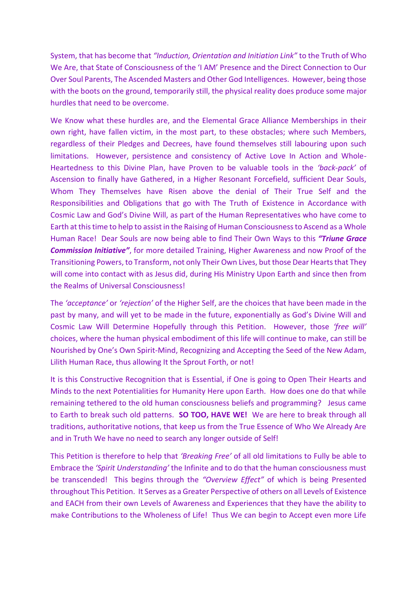System, that has become that *"Induction, Orientation and Initiation Link"* to the Truth of Who We Are, that State of Consciousness of the 'I AM' Presence and the Direct Connection to Our Over Soul Parents, The Ascended Masters and Other God Intelligences. However, being those with the boots on the ground, temporarily still, the physical reality does produce some major hurdles that need to be overcome.

We Know what these hurdles are, and the Elemental Grace Alliance Memberships in their own right, have fallen victim, in the most part, to these obstacles; where such Members, regardless of their Pledges and Decrees, have found themselves still labouring upon such limitations. However, persistence and consistency of Active Love In Action and Whole-Heartedness to this Divine Plan, have Proven to be valuable tools in the *'back-pack'* of Ascension to finally have Gathered, in a Higher Resonant Forcefield, sufficient Dear Souls, Whom They Themselves have Risen above the denial of Their True Self and the Responsibilities and Obligations that go with The Truth of Existence in Accordance with Cosmic Law and God's Divine Will, as part of the Human Representatives who have come to Earth at this time to help to assist in the Raising of Human Consciousness to Ascend as a Whole Human Race! Dear Souls are now being able to find Their Own Ways to this *"Triune Grace Commission Initiative"*, for more detailed Training, Higher Awareness and now Proof of the Transitioning Powers, to Transform, not only Their Own Lives, but those Dear Hearts that They will come into contact with as Jesus did, during His Ministry Upon Earth and since then from the Realms of Universal Consciousness!

The *'acceptance'* or *'rejection'* of the Higher Self, are the choices that have been made in the past by many, and will yet to be made in the future, exponentially as God's Divine Will and Cosmic Law Will Determine Hopefully through this Petition. However, those *'free will'* choices, where the human physical embodiment of this life will continue to make, can still be Nourished by One's Own Spirit-Mind, Recognizing and Accepting the Seed of the New Adam, Lilith Human Race, thus allowing It the Sprout Forth, or not!

It is this Constructive Recognition that is Essential, if One is going to Open Their Hearts and Minds to the next Potentialities for Humanity Here upon Earth. How does one do that while remaining tethered to the old human consciousness beliefs and programming? Jesus came to Earth to break such old patterns. **SO TOO, HAVE WE!** We are here to break through all traditions, authoritative notions, that keep us from the True Essence of Who We Already Are and in Truth We have no need to search any longer outside of Self!

This Petition is therefore to help that *'Breaking Free'* of all old limitations to Fully be able to Embrace the *'Spirit Understanding'* the Infinite and to do that the human consciousness must be transcended! This begins through the *"Overview Effect"* of which is being Presented throughout This Petition. It Serves as a Greater Perspective of others on all Levels of Existence and EACH from their own Levels of Awareness and Experiences that they have the ability to make Contributions to the Wholeness of Life! Thus We can begin to Accept even more Life